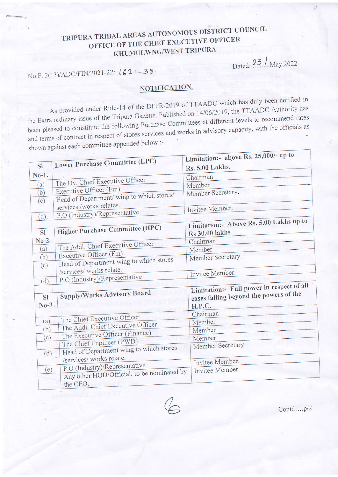## TRIPURA TRIBAL AREAS AUTONOMOUS DISTRICT COUNCIL OFFICE OF THE CHIEF EXECUTIVE OFFICER KHUMULWNG/WEST TRIPURA

Dated: 23 / May, 2022

 $-0001$  un to

# No.F. 2(13)/ADC/FIN/2021-22/  $\lfloor 621 - 38 \cdot \rfloor$

### NOTIFICATION.

As provided under Rule-14 of the DFPR-2019 of TTAADC which has duly been notified in the Extra ordinary issue of the Tripura Gazette, Published on 14/06/2019, the TTAADC Authority has been pleased to constitute the following Purchase Committees at different levels to recommend rates and terms of contract in respect of stores services and works in advisory capacity, with the officials as shown against each committee appended below :-

| <b>S1</b>                    | Lower Purchase Committee (LPC)                                                          | Limitation:- above Ks. 25,000/- up to<br>Rs. 5.00 Lakhs.                                      |
|------------------------------|-----------------------------------------------------------------------------------------|-----------------------------------------------------------------------------------------------|
| $No-1.$                      |                                                                                         | Chairman                                                                                      |
| (a)                          | The Dy. Chief Executive Officer                                                         | Member                                                                                        |
| (b)                          | Executive Officer (Fin)<br>Head of Department/ wing to which stores/                    | Member Secretary.                                                                             |
| (c)<br>(d).                  | services /works relates.<br>P.O (Industry)/Representative                               | Invitee Member.                                                                               |
| <b>SI</b>                    | <b>Higher Purchase Committee (HPC)</b>                                                  | Limitation:- Above Rs. 5.00 Lakhs up to<br><b>Rs</b> 30.00 lakhs                              |
| $No-2.$                      | The Addl. Chief Executive Officer                                                       | Chairman                                                                                      |
| (a)                          | Executive Officer (Fin)                                                                 | Member                                                                                        |
| (b)                          | Head of Department wing to which stores                                                 | Member Secretary.                                                                             |
| (c)                          | /services/ works relate.<br>P.O (Industry)/Representative                               | Invitee Member.                                                                               |
| (d)<br><b>SI</b><br>$No-3$ . | Supply/Works Advisory Board                                                             | Limitation:- Full power in respect of all<br>cases falling beyond the powers of the<br>H.P.C. |
|                              |                                                                                         | Chairman                                                                                      |
| (a)                          | The Chief Executive Officer                                                             | Member                                                                                        |
| (b)                          | The Addl. Chief Executive Officer                                                       | Member                                                                                        |
| (c)                          | The Executive Officer (Finance)                                                         | Member                                                                                        |
| (d)                          | The Chief Engineer (PWD)<br>Head of Department wing to which stores                     | Member Secretary.                                                                             |
|                              | /services/ works relate.                                                                | Invitee Member.                                                                               |
| (e)                          | P.O (Industry)/Representative<br>Any other HOD/Official, to be nominated by<br>the CEO. | Invitee Member.                                                                               |

Contd....p/2